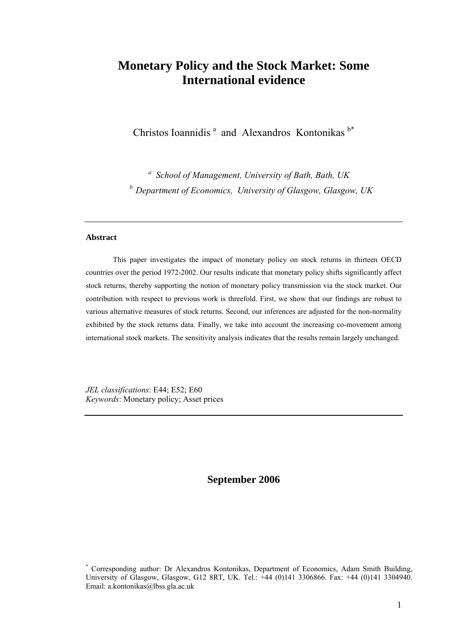## **Monetary Policy and the Stock Market: Some International evidence**

Christos Ioannidis<sup>ª</sup> and Alexandros Kontonikas<sup>b\*</sup>

*a School of Management, University of Bath, Bath, UK b Department of Economics, University of Glasgow, Glasgow, UK* 

#### **Abstract**

This paper investigates the impact of monetary policy on stock returns in thirteen OECD countries over the period 1972-2002. Our results indicate that monetary policy shifts significantly affect stock returns, thereby supporting the notion of monetary policy transmission via the stock market. Our contribution with respect to previous work is threefold. First, we show that our findings are robust to various alternative measures of stock returns. Second, our inferences are adjusted for the non-normality exhibited by the stock returns data. Finally, we take into account the increasing co-movement among international stock markets. The sensitivity analysis indicates that the results remain largely unchanged.

*JEL classifications*: E44; E52; E60 *Keywords*: Monetary policy; Asset prices

**September 2006** 

<sup>\*</sup> Corresponding author: Dr Alexandros Kontonikas, Department of Economics, Adam Smith Building, University of Glasgow, Glasgow, G12 8RT, UK. Tel.: +44 (0)141 3306866. Fax: +44 (0)141 3304940. Email: a.kontonikas@lbss.gla.ac.uk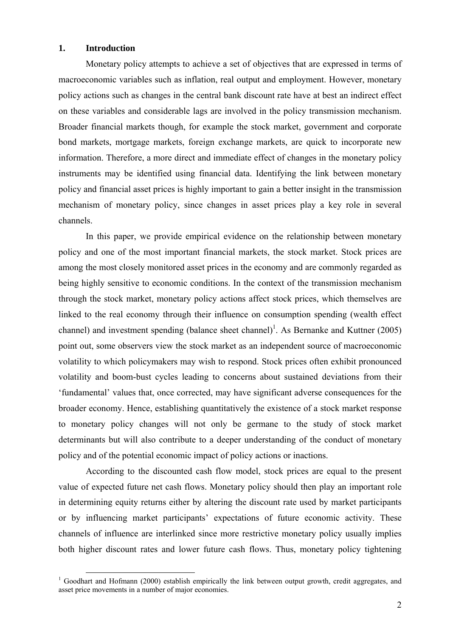### **1. Introduction**

Monetary policy attempts to achieve a set of objectives that are expressed in terms of macroeconomic variables such as inflation, real output and employment. However, monetary policy actions such as changes in the central bank discount rate have at best an indirect effect on these variables and considerable lags are involved in the policy transmission mechanism. Broader financial markets though, for example the stock market, government and corporate bond markets, mortgage markets, foreign exchange markets, are quick to incorporate new information. Therefore, a more direct and immediate effect of changes in the monetary policy instruments may be identified using financial data. Identifying the link between monetary policy and financial asset prices is highly important to gain a better insight in the transmission mechanism of monetary policy, since changes in asset prices play a key role in several channels.

In this paper, we provide empirical evidence on the relationship between monetary policy and one of the most important financial markets, the stock market. Stock prices are among the most closely monitored asset prices in the economy and are commonly regarded as being highly sensitive to economic conditions. In the context of the transmission mechanism through the stock market, monetary policy actions affect stock prices, which themselves are linked to the real economy through their influence on consumption spending (wealth effect channel) and investment spending (balance sheet channel)<sup>[1](#page-1-0)</sup>. As Bernanke and Kuttner (2005) point out, some observers view the stock market as an independent source of macroeconomic volatility to which policymakers may wish to respond. Stock prices often exhibit pronounced volatility and boom-bust cycles leading to concerns about sustained deviations from their 'fundamental' values that, once corrected, may have significant adverse consequences for the broader economy. Hence, establishing quantitatively the existence of a stock market response to monetary policy changes will not only be germane to the study of stock market determinants but will also contribute to a deeper understanding of the conduct of monetary policy and of the potential economic impact of policy actions or inactions.

According to the discounted cash flow model, stock prices are equal to the present value of expected future net cash flows. Monetary policy should then play an important role in determining equity returns either by altering the discount rate used by market participants or by influencing market participants' expectations of future economic activity. These channels of influence are interlinked since more restrictive monetary policy usually implies both higher discount rates and lower future cash flows. Thus, monetary policy tightening

<span id="page-1-0"></span><sup>&</sup>lt;sup>1</sup> Goodhart and Hofmann (2000) establish empirically the link between output growth, credit aggregates, and asset price movements in a number of major economies.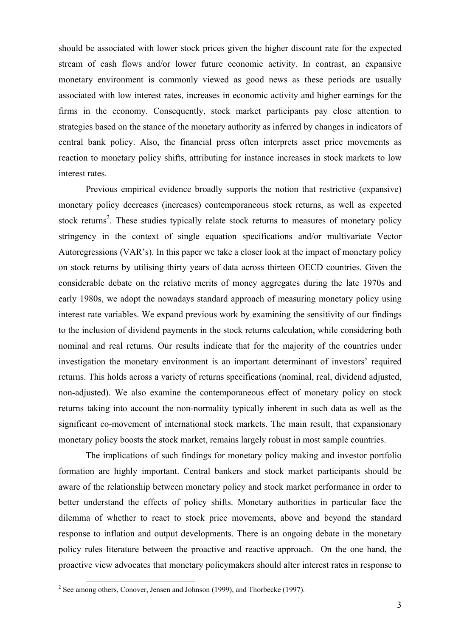should be associated with lower stock prices given the higher discount rate for the expected stream of cash flows and/or lower future economic activity. In contrast, an expansive monetary environment is commonly viewed as good news as these periods are usually associated with low interest rates, increases in economic activity and higher earnings for the firms in the economy. Consequently, stock market participants pay close attention to strategies based on the stance of the monetary authority as inferred by changes in indicators of central bank policy. Also, the financial press often interprets asset price movements as reaction to monetary policy shifts, attributing for instance increases in stock markets to low interest rates.

Previous empirical evidence broadly supports the notion that restrictive (expansive) monetary policy decreases (increases) contemporaneous stock returns, as well as expected stock returns<sup>[2](#page-2-0)</sup>. These studies typically relate stock returns to measures of monetary policy stringency in the context of single equation specifications and/or multivariate Vector Autoregressions (VAR's). In this paper we take a closer look at the impact of monetary policy on stock returns by utilising thirty years of data across thirteen OECD countries. Given the considerable debate on the relative merits of money aggregates during the late 1970s and early 1980s, we adopt the nowadays standard approach of measuring monetary policy using interest rate variables. We expand previous work by examining the sensitivity of our findings to the inclusion of dividend payments in the stock returns calculation, while considering both nominal and real returns. Our results indicate that for the majority of the countries under investigation the monetary environment is an important determinant of investors' required returns. This holds across a variety of returns specifications (nominal, real, dividend adjusted, non-adjusted). We also examine the contemporaneous effect of monetary policy on stock returns taking into account the non-normality typically inherent in such data as well as the significant co-movement of international stock markets. The main result, that expansionary monetary policy boosts the stock market, remains largely robust in most sample countries.

The implications of such findings for monetary policy making and investor portfolio formation are highly important. Central bankers and stock market participants should be aware of the relationship between monetary policy and stock market performance in order to better understand the effects of policy shifts. Monetary authorities in particular face the dilemma of whether to react to stock price movements, above and beyond the standard response to inflation and output developments. There is an ongoing debate in the monetary policy rules literature between the proactive and reactive approach. On the one hand, the proactive view advocates that monetary policymakers should alter interest rates in response to

<span id="page-2-0"></span><sup>&</sup>lt;sup>2</sup> See among others, Conover, Jensen and Johnson (1999), and Thorbecke (1997).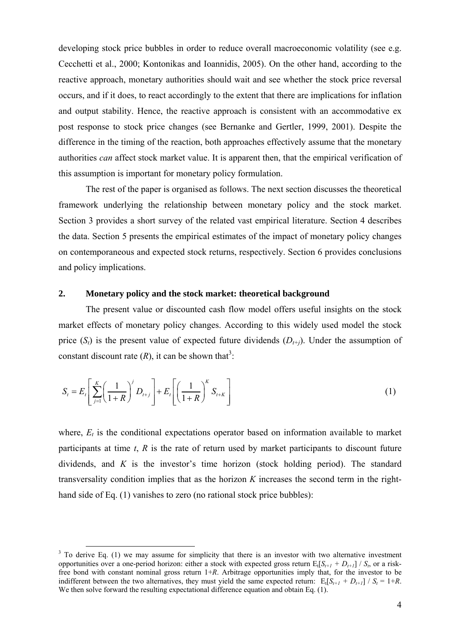developing stock price bubbles in order to reduce overall macroeconomic volatility (see e.g. Cecchetti et al., 2000; Kontonikas and Ioannidis, 2005). On the other hand, according to the reactive approach, monetary authorities should wait and see whether the stock price reversal occurs, and if it does, to react accordingly to the extent that there are implications for inflation and output stability. Hence, the reactive approach is consistent with an accommodative ex post response to stock price changes (see Bernanke and Gertler, 1999, 2001). Despite the difference in the timing of the reaction, both approaches effectively assume that the monetary authorities *can* affect stock market value. It is apparent then, that the empirical verification of this assumption is important for monetary policy formulation.

The rest of the paper is organised as follows. The next section discusses the theoretical framework underlying the relationship between monetary policy and the stock market. Section 3 provides a short survey of the related vast empirical literature. Section 4 describes the data. Section 5 presents the empirical estimates of the impact of monetary policy changes on contemporaneous and expected stock returns, respectively. Section 6 provides conclusions and policy implications.

## **2. Monetary policy and the stock market: theoretical background**

The present value or discounted cash flow model offers useful insights on the stock market effects of monetary policy changes. According to this widely used model the stock price  $(S_t)$  is the present value of expected future dividends  $(D_{t+j})$ . Under the assumption of constant discount rate  $(R)$ , it can be shown that<sup>3</sup>:

$$
S_{t} = E_{t} \left[ \sum_{j=1}^{K} \left( \frac{1}{1+R} \right)^{j} D_{t+j} \right] + E_{t} \left[ \left( \frac{1}{1+R} \right)^{K} S_{t+K} \right]
$$
 (1)

where,  $E_t$  is the conditional expectations operator based on information available to market participants at time *t*, *R* is the rate of return used by market participants to discount future dividends, and *K* is the investor's time horizon (stock holding period). The standard transversality condition implies that as the horizon *K* increases the second term in the righthand side of Eq. (1) vanishes to zero (no rational stock price bubbles):

 $\overline{a}$ 

<span id="page-3-0"></span> $3$  To derive Eq. (1) we may assume for simplicity that there is an investor with two alternative investment opportunities over a one-period horizon: either a stock with expected gross return  $E_t[S_{t+1} + D_{t+1}] / S_t$ , or a riskfree bond with constant nominal gross return 1+*R*. Arbitrage opportunities imply that, for the investor to be indifferent between the two alternatives, they must yield the same expected return:  $E_t[S_{t+1} + D_{t+1}] / S_t = 1 + R$ . We then solve forward the resulting expectational difference equation and obtain Eq. (1).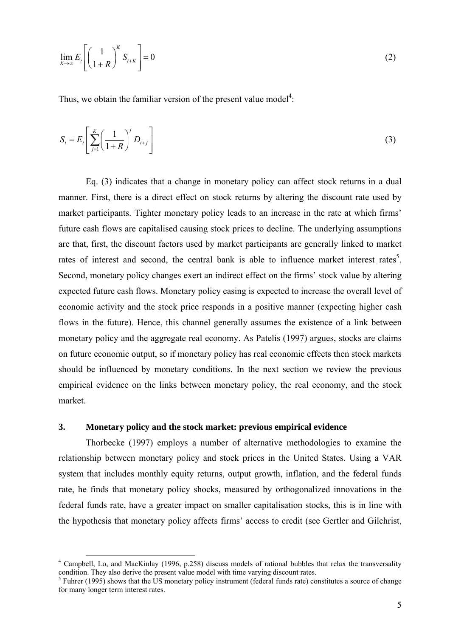$$
\lim_{K \to \infty} E_t \left[ \left( \frac{1}{1+R} \right)^K S_{t+K} \right] = 0 \tag{2}
$$

Thus, we obtain the familiar version of the present value model<sup>[4](#page-4-0)</sup>:

$$
S_t = E_t \left[ \sum_{j=1}^K \left( \frac{1}{1+R} \right)^j D_{t+j} \right]
$$
 (3)

Eq. (3) indicates that a change in monetary policy can affect stock returns in a dual manner. First, there is a direct effect on stock returns by altering the discount rate used by market participants. Tighter monetary policy leads to an increase in the rate at which firms' future cash flows are capitalised causing stock prices to decline. The underlying assumptions are that, first, the discount factors used by market participants are generally linked to market rates of interest and second, the central bank is able to influence market interest rates<sup>[5](#page-4-1)</sup>. Second, monetary policy changes exert an indirect effect on the firms' stock value by altering expected future cash flows. Monetary policy easing is expected to increase the overall level of economic activity and the stock price responds in a positive manner (expecting higher cash flows in the future). Hence, this channel generally assumes the existence of a link between monetary policy and the aggregate real economy. As Patelis (1997) argues, stocks are claims on future economic output, so if monetary policy has real economic effects then stock markets should be influenced by monetary conditions. In the next section we review the previous empirical evidence on the links between monetary policy, the real economy, and the stock market.

## **3. Monetary policy and the stock market: previous empirical evidence**

 $\overline{a}$ 

Thorbecke (1997) employs a number of alternative methodologies to examine the relationship between monetary policy and stock prices in the United States. Using a VAR system that includes monthly equity returns, output growth, inflation, and the federal funds rate, he finds that monetary policy shocks, measured by orthogonalized innovations in the federal funds rate, have a greater impact on smaller capitalisation stocks, this is in line with the hypothesis that monetary policy affects firms' access to credit (see Gertler and Gilchrist,

<span id="page-4-0"></span><sup>&</sup>lt;sup>4</sup> Campbell, Lo, and MacKinlay (1996, p.258) discuss models of rational bubbles that relax the transversality condition. They also derive the present value model with time varying discount rates.

<span id="page-4-1"></span> $5$  Fuhrer (1995) shows that the US monetary policy instrument (federal funds rate) constitutes a source of change for many longer term interest rates.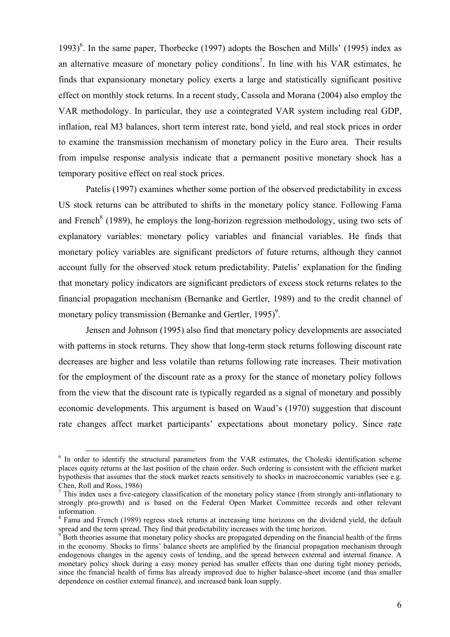1993)<sup>[6](#page-5-0)</sup>. In the same paper, Thorbecke (1997) adopts the Boschen and Mills' (1995) index as an alternative measure of monetary policy conditions<sup>7</sup>. In line with his VAR estimates, he finds that expansionary monetary policy exerts a large and statistically significant positive effect on monthly stock returns. In a recent study, Cassola and Morana (2004) also employ the VAR methodology. In particular, they use a cointegrated VAR system including real GDP, inflation, real M3 balances, short term interest rate, bond yield, and real stock prices in order to examine the transmission mechanism of monetary policy in the Euro area. Their results from impulse response analysis indicate that a permanent positive monetary shock has a temporary positive effect on real stock prices.

Patelis (1997) examines whether some portion of the observed predictability in excess US stock returns can be attributed to shifts in the monetary policy stance. Following Fama and French<sup>8</sup> (1989), he employs the long-horizon regression methodology, using two sets of explanatory variables: monetary policy variables and financial variables. He finds that monetary policy variables are significant predictors of future returns, although they cannot account fully for the observed stock return predictability. Patelis' explanation for the finding that monetary policy indicators are significant predictors of excess stock returns relates to the financial propagation mechanism (Bernanke and Gertler, 1989) and to the credit channel of monetary policy transmission (Bernanke and Gertler, 1[9](#page-5-3)95)<sup>9</sup>.

Jensen and Johnson (1995) also find that monetary policy developments are associated with patterns in stock returns. They show that long-term stock returns following discount rate decreases are higher and less volatile than returns following rate increases. Their motivation for the employment of the discount rate as a proxy for the stance of monetary policy follows from the view that the discount rate is typically regarded as a signal of monetary and possibly economic developments. This argument is based on Waud's (1970) suggestion that discount rate changes affect market participants' expectations about monetary policy. Since rate

<span id="page-5-0"></span><sup>&</sup>lt;sup>6</sup> In order to identify the structural parameters from the VAR estimates, the Choleski identification scheme places equity returns at the last position of the chain order. Such ordering is consistent with the efficient market hypothesis that assumes that the stock market reacts sensitively to shocks in macroeconomic variables (see e.g. Chen, Roll and Ross, 1986)

<span id="page-5-1"></span> $\frac{7}{1}$  This index uses a five-category classification of the monetary policy stance (from strongly anti-inflationary to strongly pro-growth) and is based on the Federal Open Market Committee records and other relevant information

<span id="page-5-2"></span><sup>&</sup>lt;sup>8</sup> Fama and French (1989) regress stock returns at increasing time horizons on the dividend yield, the default spread and the term spread. They find that predictability increases with the time horizon. 9

<span id="page-5-3"></span> $\frac{9}{9}$  Both theories assume that monetary policy shocks are propagated depending on the financial health of the firms in the economy. Shocks to firms' balance sheets are amplified by the financial propagation mechanism through endogenous changes in the agency costs of lending, and the spread between external and internal finance. A monetary policy shock during a easy money period has smaller effects than one during tight money periods, since the financial health of firms has already improved due to higher balance-sheet income (and thus smaller dependence on costlier external finance), and increased bank loan supply.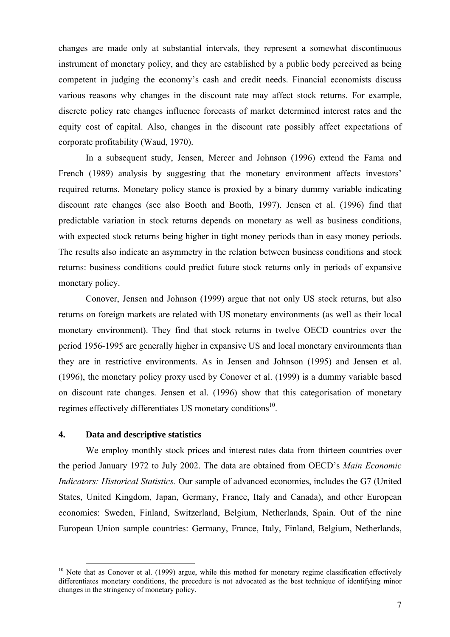changes are made only at substantial intervals, they represent a somewhat discontinuous instrument of monetary policy, and they are established by a public body perceived as being competent in judging the economy's cash and credit needs. Financial economists discuss various reasons why changes in the discount rate may affect stock returns. For example, discrete policy rate changes influence forecasts of market determined interest rates and the equity cost of capital. Also, changes in the discount rate possibly affect expectations of corporate profitability (Waud, 1970).

In a subsequent study, Jensen, Mercer and Johnson (1996) extend the Fama and French (1989) analysis by suggesting that the monetary environment affects investors' required returns. Monetary policy stance is proxied by a binary dummy variable indicating discount rate changes (see also Booth and Booth, 1997). Jensen et al. (1996) find that predictable variation in stock returns depends on monetary as well as business conditions, with expected stock returns being higher in tight money periods than in easy money periods. The results also indicate an asymmetry in the relation between business conditions and stock returns: business conditions could predict future stock returns only in periods of expansive monetary policy.

Conover, Jensen and Johnson (1999) argue that not only US stock returns, but also returns on foreign markets are related with US monetary environments (as well as their local monetary environment). They find that stock returns in twelve OECD countries over the period 1956-1995 are generally higher in expansive US and local monetary environments than they are in restrictive environments. As in Jensen and Johnson (1995) and Jensen et al. (1996), the monetary policy proxy used by Conover et al. (1999) is a dummy variable based on discount rate changes. Jensen et al. (1996) show that this categorisation of monetary regimes effectively differentiates US monetary conditions<sup>10</sup>.

## **4. Data and descriptive statistics**

We employ monthly stock prices and interest rates data from thirteen countries over the period January 1972 to July 2002. The data are obtained from OECD's *Main Economic Indicators: Historical Statistics.* Our sample of advanced economies, includes the G7 (United States, United Kingdom, Japan, Germany, France, Italy and Canada), and other European economies: Sweden, Finland, Switzerland, Belgium, Netherlands, Spain. Out of the nine European Union sample countries: Germany, France, Italy, Finland, Belgium, Netherlands,

<span id="page-6-0"></span> $10$  Note that as Conover et al. (1999) argue, while this method for monetary regime classification effectively differentiates monetary conditions, the procedure is not advocated as the best technique of identifying minor changes in the stringency of monetary policy.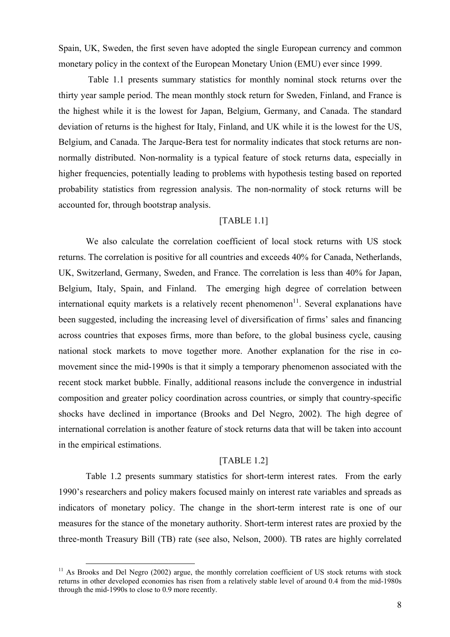Spain, UK, Sweden, the first seven have adopted the single European currency and common monetary policy in the context of the European Monetary Union (EMU) ever since 1999.

Table 1.1 presents summary statistics for monthly nominal stock returns over the thirty year sample period. The mean monthly stock return for Sweden, Finland, and France is the highest while it is the lowest for Japan, Belgium, Germany, and Canada. The standard deviation of returns is the highest for Italy, Finland, and UK while it is the lowest for the US, Belgium, and Canada. The Jarque-Bera test for normality indicates that stock returns are nonnormally distributed. Non-normality is a typical feature of stock returns data, especially in higher frequencies, potentially leading to problems with hypothesis testing based on reported probability statistics from regression analysis. The non-normality of stock returns will be accounted for, through bootstrap analysis.

## [TABLE 1.1]

We also calculate the correlation coefficient of local stock returns with US stock returns. The correlation is positive for all countries and exceeds 40% for Canada, Netherlands, UK, Switzerland, Germany, Sweden, and France. The correlation is less than 40% for Japan, Belgium, Italy, Spain, and Finland. The emerging high degree of correlation between international equity markets is a relatively recent phenomenon<sup>11</sup>. Several explanations have been suggested, including the increasing level of diversification of firms' sales and financing across countries that exposes firms, more than before, to the global business cycle, causing national stock markets to move together more. Another explanation for the rise in comovement since the mid-1990s is that it simply a temporary phenomenon associated with the recent stock market bubble. Finally, additional reasons include the convergence in industrial composition and greater policy coordination across countries, or simply that country-specific shocks have declined in importance (Brooks and Del Negro, 2002). The high degree of international correlation is another feature of stock returns data that will be taken into account in the empirical estimations.

## [TABLE 1.2]

Table 1.2 presents summary statistics for short-term interest rates. From the early 1990's researchers and policy makers focused mainly on interest rate variables and spreads as indicators of monetary policy. The change in the short-term interest rate is one of our measures for the stance of the monetary authority. Short-term interest rates are proxied by the three-month Treasury Bill (TB) rate (see also, Nelson, 2000). TB rates are highly correlated

<span id="page-7-0"></span><sup>&</sup>lt;sup>11</sup> As Brooks and Del Negro (2002) argue, the monthly correlation coefficient of US stock returns with stock returns in other developed economies has risen from a relatively stable level of around 0.4 from the mid-1980s through the mid-1990s to close to 0.9 more recently.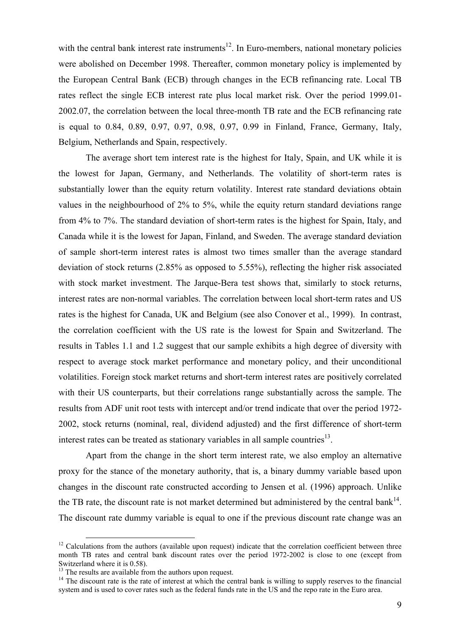with the central bank interest rate instruments<sup>12</sup>. In Euro-members, national monetary policies were abolished on December 1998. Thereafter, common monetary policy is implemented by the European Central Bank (ECB) through changes in the ECB refinancing rate. Local TB rates reflect the single ECB interest rate plus local market risk. Over the period 1999.01- 2002.07, the correlation between the local three-month TB rate and the ECB refinancing rate is equal to 0.84, 0.89, 0.97, 0.97, 0.98, 0.97, 0.99 in Finland, France, Germany, Italy, Belgium, Netherlands and Spain, respectively.

The average short tem interest rate is the highest for Italy, Spain, and UK while it is the lowest for Japan, Germany, and Netherlands. The volatility of short-term rates is substantially lower than the equity return volatility. Interest rate standard deviations obtain values in the neighbourhood of 2% to 5%, while the equity return standard deviations range from 4% to 7%. The standard deviation of short-term rates is the highest for Spain, Italy, and Canada while it is the lowest for Japan, Finland, and Sweden. The average standard deviation of sample short-term interest rates is almost two times smaller than the average standard deviation of stock returns (2.85% as opposed to 5.55%), reflecting the higher risk associated with stock market investment. The Jarque-Bera test shows that, similarly to stock returns, interest rates are non-normal variables. The correlation between local short-term rates and US rates is the highest for Canada, UK and Belgium (see also Conover et al., 1999). In contrast, the correlation coefficient with the US rate is the lowest for Spain and Switzerland. The results in Tables 1.1 and 1.2 suggest that our sample exhibits a high degree of diversity with respect to average stock market performance and monetary policy, and their unconditional volatilities. Foreign stock market returns and short-term interest rates are positively correlated with their US counterparts, but their correlations range substantially across the sample. The results from ADF unit root tests with intercept and/or trend indicate that over the period 1972- 2002, stock returns (nominal, real, dividend adjusted) and the first difference of short-term interest rates can be treated as stationary variables in all sample countries<sup>13</sup>.

Apart from the change in the short term interest rate, we also employ an alternative proxy for the stance of the monetary authority, that is, a binary dummy variable based upon changes in the discount rate constructed according to Jensen et al. (1996) approach. Unlike the TB rate, the discount rate is not market determined but administered by the central bank<sup>14</sup>. The discount rate dummy variable is equal to one if the previous discount rate change was an

<span id="page-8-0"></span> $12$  Calculations from the authors (available upon request) indicate that the correlation coefficient between three month TB rates and central bank discount rates over the period 1972-2002 is close to one (except from Switzerland where it is 0.58). <sup>13</sup> The results are available from the authors upon request. <sup>14</sup> The discount rate is the rate of interest at which the central bank is willing to supply reserves to the financial  $\frac{14}{1$ 

<span id="page-8-1"></span>

<span id="page-8-2"></span>system and is used to cover rates such as the federal funds rate in the US and the repo rate in the Euro area.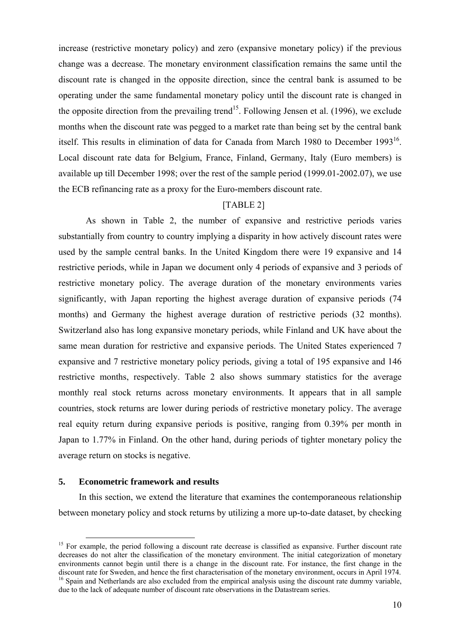increase (restrictive monetary policy) and zero (expansive monetary policy) if the previous change was a decrease. The monetary environment classification remains the same until the discount rate is changed in the opposite direction, since the central bank is assumed to be operating under the same fundamental monetary policy until the discount rate is changed in the opposite direction from the prevailing trend<sup>15</sup>. Following Jensen et al. (1996), we exclude months when the discount rate was pegged to a market rate than being set by the central bank itself. This results in elimination of data for Canada from March 1980 to December  $1993^{16}$ . Local discount rate data for Belgium, France, Finland, Germany, Italy (Euro members) is available up till December 1998; over the rest of the sample period (1999.01-2002.07), we use the ECB refinancing rate as a proxy for the Euro-members discount rate.

#### [TABLE 2]

As shown in Table 2, the number of expansive and restrictive periods varies substantially from country to country implying a disparity in how actively discount rates were used by the sample central banks. In the United Kingdom there were 19 expansive and 14 restrictive periods, while in Japan we document only 4 periods of expansive and 3 periods of restrictive monetary policy. The average duration of the monetary environments varies significantly, with Japan reporting the highest average duration of expansive periods (74 months) and Germany the highest average duration of restrictive periods (32 months). Switzerland also has long expansive monetary periods, while Finland and UK have about the same mean duration for restrictive and expansive periods. The United States experienced 7 expansive and 7 restrictive monetary policy periods, giving a total of 195 expansive and 146 restrictive months, respectively. Table 2 also shows summary statistics for the average monthly real stock returns across monetary environments. It appears that in all sample countries, stock returns are lower during periods of restrictive monetary policy. The average real equity return during expansive periods is positive, ranging from 0.39% per month in Japan to 1.77% in Finland. On the other hand, during periods of tighter monetary policy the average return on stocks is negative.

#### **5. Econometric framework and results**

In this section, we extend the literature that examines the contemporaneous relationship between monetary policy and stock returns by utilizing a more up-to-date dataset, by checking

<span id="page-9-1"></span><span id="page-9-0"></span><sup>&</sup>lt;sup>15</sup> For example, the period following a discount rate decrease is classified as expansive. Further discount rate decreases do not alter the classification of the monetary environment. The initial categorization of monetary environments cannot begin until there is a change in the discount rate. For instance, the first change in the discount rate for Sweden, and hence the first characterisation of the monetary environment, occurs in April 1974  $16$  Spain and Netherlands are also excluded from the empirical analysis using the discount rate dummy variable, due to the lack of adequate number of discount rate observations in the Datastream series.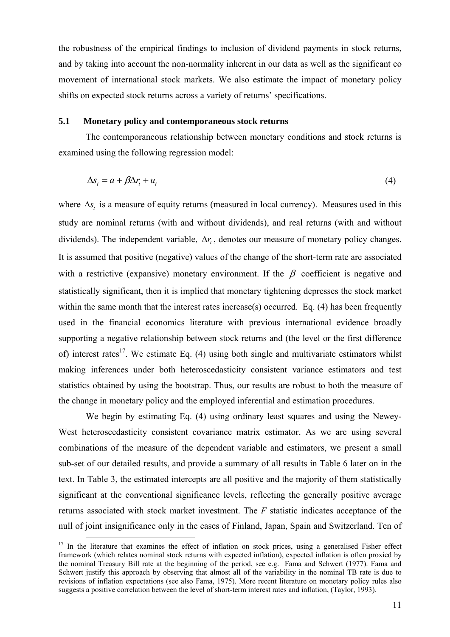the robustness of the empirical findings to inclusion of dividend payments in stock returns, and by taking into account the non-normality inherent in our data as well as the significant co movement of international stock markets. We also estimate the impact of monetary policy shifts on expected stock returns across a variety of returns' specifications.

## **5.1 Monetary policy and contemporaneous stock returns**

The contemporaneous relationship between monetary conditions and stock returns is examined using the following regression model:

$$
\Delta s_t = a + \beta \Delta r_t + u_t \tag{4}
$$

where  $\Delta s$ <sub>i</sub> is a measure of equity returns (measured in local currency). Measures used in this study are nominal returns (with and without dividends), and real returns (with and without dividends). The independent variable,  $\Delta r_t$ , denotes our measure of monetary policy changes. It is assumed that positive (negative) values of the change of the short-term rate are associated with a restrictive (expansive) monetary environment. If the  $\beta$  coefficient is negative and statistically significant, then it is implied that monetary tightening depresses the stock market within the same month that the interest rates increase(s) occurred. Eq. (4) has been frequently used in the financial economics literature with previous international evidence broadly supporting a negative relationship between stock returns and (the level or the first difference of) interest rates<sup>17</sup>. We estimate Eq. (4) using both single and multivariate estimators whilst making inferences under both heteroscedasticity consistent variance estimators and test statistics obtained by using the bootstrap. Thus, our results are robust to both the measure of the change in monetary policy and the employed inferential and estimation procedures.

We begin by estimating Eq. (4) using ordinary least squares and using the Newey-West heteroscedasticity consistent covariance matrix estimator. As we are using several combinations of the measure of the dependent variable and estimators, we present a small sub-set of our detailed results, and provide a summary of all results in Table 6 later on in the text. In Table 3, the estimated intercepts are all positive and the majority of them statistically significant at the conventional significance levels, reflecting the generally positive average returns associated with stock market investment. The *F* statistic indicates acceptance of the null of joint insignificance only in the cases of Finland, Japan, Spain and Switzerland. Ten of

<span id="page-10-0"></span><sup>&</sup>lt;sup>17</sup> In the literature that examines the effect of inflation on stock prices, using a generalised Fisher effect framework (which relates nominal stock returns with expected inflation), expected inflation is often proxied by the nominal Treasury Bill rate at the beginning of the period, see e.g. Fama and Schwert (1977). Fama and Schwert justify this approach by observing that almost all of the variability in the nominal TB rate is due to revisions of inflation expectations (see also Fama, 1975). More recent literature on monetary policy rules also suggests a positive correlation between the level of short-term interest rates and inflation, (Taylor, 1993).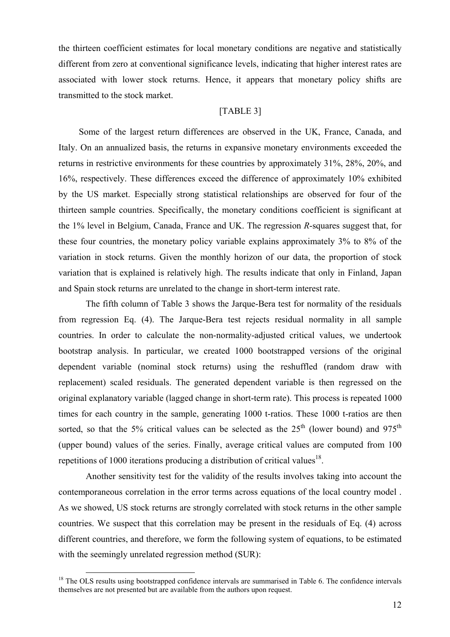the thirteen coefficient estimates for local monetary conditions are negative and statistically different from zero at conventional significance levels, indicating that higher interest rates are associated with lower stock returns. Hence, it appears that monetary policy shifts are transmitted to the stock market.

## [TABLE 3]

Some of the largest return differences are observed in the UK, France, Canada, and Italy. On an annualized basis, the returns in expansive monetary environments exceeded the returns in restrictive environments for these countries by approximately 31%, 28%, 20%, and 16%, respectively. These differences exceed the difference of approximately 10% exhibited by the US market. Especially strong statistical relationships are observed for four of the thirteen sample countries. Specifically, the monetary conditions coefficient is significant at the 1% level in Belgium, Canada, France and UK. The regression *R*-squares suggest that, for these four countries, the monetary policy variable explains approximately 3% to 8% of the variation in stock returns. Given the monthly horizon of our data, the proportion of stock variation that is explained is relatively high. The results indicate that only in Finland, Japan and Spain stock returns are unrelated to the change in short-term interest rate.

The fifth column of Table 3 shows the Jarque-Bera test for normality of the residuals from regression Eq. (4). The Jarque-Bera test rejects residual normality in all sample countries. In order to calculate the non-normality-adjusted critical values, we undertook bootstrap analysis. In particular, we created 1000 bootstrapped versions of the original dependent variable (nominal stock returns) using the reshuffled (random draw with replacement) scaled residuals. The generated dependent variable is then regressed on the original explanatory variable (lagged change in short-term rate). This process is repeated 1000 times for each country in the sample, generating 1000 t-ratios. These 1000 t-ratios are then sorted, so that the 5% critical values can be selected as the  $25<sup>th</sup>$  (lower bound) and 975<sup>th</sup> (upper bound) values of the series. Finally, average critical values are computed from 100 repetitions of 1000 iterations producing a distribution of critical values<sup>18</sup>.

Another sensitivity test for the validity of the results involves taking into account the contemporaneous correlation in the error terms across equations of the local country model . As we showed, US stock returns are strongly correlated with stock returns in the other sample countries. We suspect that this correlation may be present in the residuals of Eq. (4) across different countries, and therefore, we form the following system of equations, to be estimated with the seemingly unrelated regression method (SUR):

<span id="page-11-0"></span><sup>&</sup>lt;sup>18</sup> The OLS results using bootstrapped confidence intervals are summarised in Table 6. The confidence intervals themselves are not presented but are available from the authors upon request.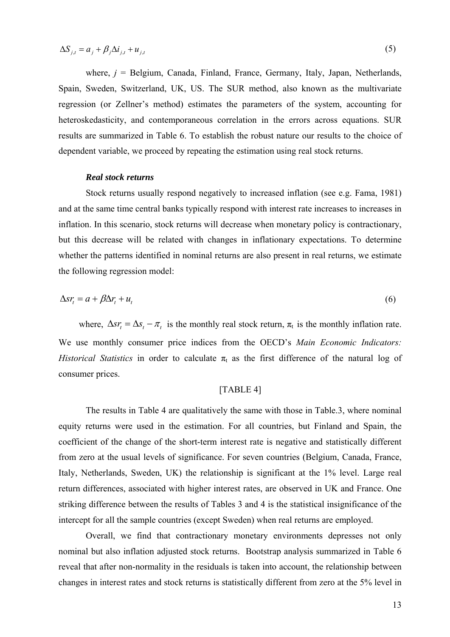$$
\Delta S_{j,t} = a_j + \beta_j \Delta i_{j,t} + u_{j,t} \tag{5}
$$

where, *j* = Belgium, Canada, Finland, France, Germany, Italy, Japan, Netherlands, Spain, Sweden, Switzerland, UK, US. The SUR method, also known as the multivariate regression (or Zellner's method) estimates the parameters of the system, accounting for heteroskedasticity, and contemporaneous correlation in the errors across equations. SUR results are summarized in Table 6. To establish the robust nature our results to the choice of dependent variable, we proceed by repeating the estimation using real stock returns.

#### *Real stock returns*

Stock returns usually respond negatively to increased inflation (see e.g. Fama, 1981) and at the same time central banks typically respond with interest rate increases to increases in inflation. In this scenario, stock returns will decrease when monetary policy is contractionary, but this decrease will be related with changes in inflationary expectations. To determine whether the patterns identified in nominal returns are also present in real returns, we estimate the following regression model:

$$
\Delta s r_t = a + \beta \Delta r_t + u_t \tag{6}
$$

where,  $\Delta s r_t = \Delta s_t - \pi_t$  is the monthly real stock return,  $\pi_t$  is the monthly inflation rate. We use monthly consumer price indices from the OECD's *Main Economic Indicators: Historical Statistics* in order to calculate  $\pi_t$  as the first difference of the natural log of consumer prices.

### [TABLE 4]

The results in Table 4 are qualitatively the same with those in Table.3, where nominal equity returns were used in the estimation. For all countries, but Finland and Spain, the coefficient of the change of the short-term interest rate is negative and statistically different from zero at the usual levels of significance. For seven countries (Belgium, Canada, France, Italy, Netherlands, Sweden, UK) the relationship is significant at the 1% level. Large real return differences, associated with higher interest rates, are observed in UK and France. One striking difference between the results of Tables 3 and 4 is the statistical insignificance of the intercept for all the sample countries (except Sweden) when real returns are employed.

Overall, we find that contractionary monetary environments depresses not only nominal but also inflation adjusted stock returns. Bootstrap analysis summarized in Table 6 reveal that after non-normality in the residuals is taken into account, the relationship between changes in interest rates and stock returns is statistically different from zero at the 5% level in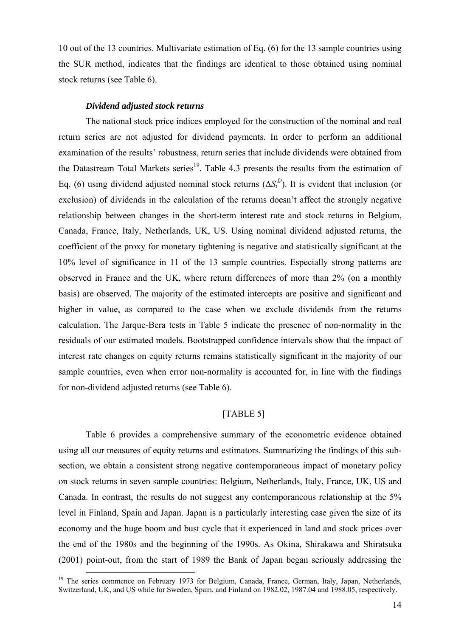10 out of the 13 countries. Multivariate estimation of Eq. (6) for the 13 sample countries using the SUR method, indicates that the findings are identical to those obtained using nominal stock returns (see Table 6).

#### *Dividend adjusted stock returns*

The national stock price indices employed for the construction of the nominal and real return series are not adjusted for dividend payments. In order to perform an additional examination of the results' robustness, return series that include dividends were obtained from the Datastream Total Markets series<sup>19</sup>. Table 4.3 presents the results from the estimation of Eq. (6) using dividend adjusted nominal stock returns ( $\Delta S_t^D$ ). It is evident that inclusion (or exclusion) of dividends in the calculation of the returns doesn't affect the strongly negative relationship between changes in the short-term interest rate and stock returns in Belgium, Canada, France, Italy, Netherlands, UK, US. Using nominal dividend adjusted returns, the coefficient of the proxy for monetary tightening is negative and statistically significant at the 10% level of significance in 11 of the 13 sample countries. Especially strong patterns are observed in France and the UK, where return differences of more than 2% (on a monthly basis) are observed. The majority of the estimated intercepts are positive and significant and higher in value, as compared to the case when we exclude dividends from the returns calculation. The Jarque-Bera tests in Table 5 indicate the presence of non-normality in the residuals of our estimated models. Bootstrapped confidence intervals show that the impact of interest rate changes on equity returns remains statistically significant in the majority of our sample countries, even when error non-normality is accounted for, in line with the findings for non-dividend adjusted returns (see Table 6).

## [TABLE 5]

Table 6 provides a comprehensive summary of the econometric evidence obtained using all our measures of equity returns and estimators. Summarizing the findings of this subsection, we obtain a consistent strong negative contemporaneous impact of monetary policy on stock returns in seven sample countries: Belgium, Netherlands, Italy, France, UK, US and Canada. In contrast, the results do not suggest any contemporaneous relationship at the 5% level in Finland, Spain and Japan. Japan is a particularly interesting case given the size of its economy and the huge boom and bust cycle that it experienced in land and stock prices over the end of the 1980s and the beginning of the 1990s. As Okina, Shirakawa and Shiratsuka (2001) point-out, from the start of 1989 the Bank of Japan began seriously addressing the

<span id="page-13-0"></span><sup>&</sup>lt;sup>19</sup> The series commence on February 1973 for Belgium, Canada, France, German, Italy, Japan, Netherlands, Switzerland, UK, and US while for Sweden, Spain, and Finland on 1982.02, 1987.04 and 1988.05, respectively.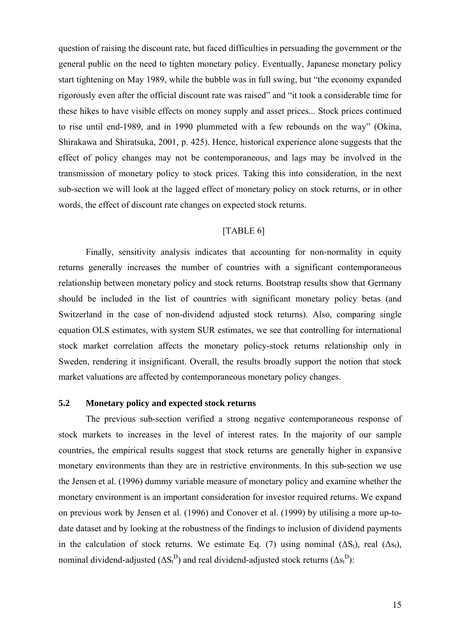question of raising the discount rate, but faced difficulties in persuading the government or the general public on the need to tighten monetary policy. Eventually, Japanese monetary policy start tightening on May 1989, while the bubble was in full swing, but "the economy expanded rigorously even after the official discount rate was raised" and "it took a considerable time for these hikes to have visible effects on money supply and asset prices... Stock prices continued to rise until end-1989, and in 1990 plummeted with a few rebounds on the way" (Okina, Shirakawa and Shiratsuka, 2001, p. 425). Hence, historical experience alone suggests that the effect of policy changes may not be contemporaneous, and lags may be involved in the transmission of monetary policy to stock prices. Taking this into consideration, in the next sub-section we will look at the lagged effect of monetary policy on stock returns, or in other words, the effect of discount rate changes on expected stock returns.

## [TABLE 6]

Finally, sensitivity analysis indicates that accounting for non-normality in equity returns generally increases the number of countries with a significant contemporaneous relationship between monetary policy and stock returns. Bootstrap results show that Germany should be included in the list of countries with significant monetary policy betas (and Switzerland in the case of non-dividend adjusted stock returns). Also, comparing single equation OLS estimates, with system SUR estimates, we see that controlling for international stock market correlation affects the monetary policy-stock returns relationship only in Sweden, rendering it insignificant. Overall, the results broadly support the notion that stock market valuations are affected by contemporaneous monetary policy changes.

## **5.2 Monetary policy and expected stock returns**

The previous sub-section verified a strong negative contemporaneous response of stock markets to increases in the level of interest rates. In the majority of our sample countries, the empirical results suggest that stock returns are generally higher in expansive monetary environments than they are in restrictive environments. In this sub-section we use the Jensen et al. (1996) dummy variable measure of monetary policy and examine whether the monetary environment is an important consideration for investor required returns. We expand on previous work by Jensen et al. (1996) and Conover et al. (1999) by utilising a more up-todate dataset and by looking at the robustness of the findings to inclusion of dividend payments in the calculation of stock returns. We estimate Eq. (7) using nominal  $(\Delta S_t)$ , real  $(\Delta s_t)$ , nominal dividend-adjusted ( $\Delta S_t^D$ ) and real dividend-adjusted stock returns ( $\Delta S_t^D$ ):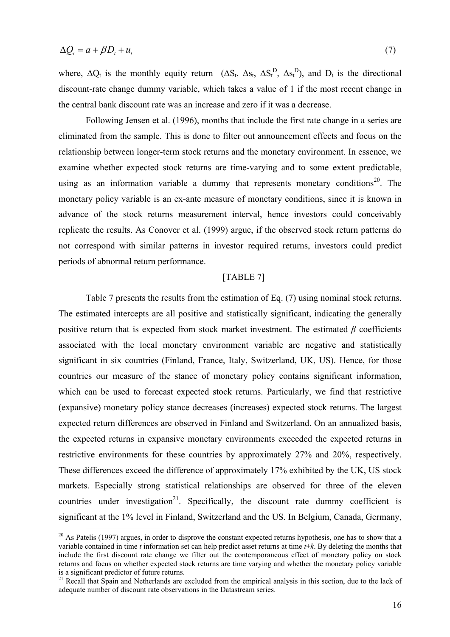$$
\Delta Q_t = a + \beta D_t + u_t \tag{7}
$$

where,  $\Delta Q_t$  is the monthly equity return  $(\Delta S_t, \Delta S_t, \Delta S_t^D, \Delta S_t^D)$ , and  $D_t$  is the directional discount-rate change dummy variable, which takes a value of 1 if the most recent change in the central bank discount rate was an increase and zero if it was a decrease.

Following Jensen et al. (1996), months that include the first rate change in a series are eliminated from the sample. This is done to filter out announcement effects and focus on the relationship between longer-term stock returns and the monetary environment. In essence, we examine whether expected stock returns are time-varying and to some extent predictable, using as an information variable a dummy that represents monetary conditions<sup>20</sup>. The monetary policy variable is an ex-ante measure of monetary conditions, since it is known in advance of the stock returns measurement interval, hence investors could conceivably replicate the results. As Conover et al. (1999) argue, if the observed stock return patterns do not correspond with similar patterns in investor required returns, investors could predict periods of abnormal return performance.

## [TABLE 7]

Table 7 presents the results from the estimation of Eq. (7) using nominal stock returns. The estimated intercepts are all positive and statistically significant, indicating the generally positive return that is expected from stock market investment. The estimated *β* coefficients associated with the local monetary environment variable are negative and statistically significant in six countries (Finland, France, Italy, Switzerland, UK, US). Hence, for those countries our measure of the stance of monetary policy contains significant information, which can be used to forecast expected stock returns. Particularly, we find that restrictive (expansive) monetary policy stance decreases (increases) expected stock returns. The largest expected return differences are observed in Finland and Switzerland. On an annualized basis, the expected returns in expansive monetary environments exceeded the expected returns in restrictive environments for these countries by approximately 27% and 20%, respectively. These differences exceed the difference of approximately 17% exhibited by the UK, US stock markets. Especially strong statistical relationships are observed for three of the eleven countries under investigation<sup>21</sup>. Specifically, the discount rate dummy coefficient is significant at the 1% level in Finland, Switzerland and the US. In Belgium, Canada, Germany,

<span id="page-15-0"></span> $20$  As Patelis (1997) argues, in order to disprove the constant expected returns hypothesis, one has to show that a variable contained in time *t* information set can help predict asset returns at time *t*+*k*. By deleting the months that include the first discount rate change we filter out the contemporaneous effect of monetary policy on stock returns and focus on whether expected stock returns are time varying and whether the monetary policy variable

<span id="page-15-1"></span> $21$  Recall that Spain and Netherlands are excluded from the empirical analysis in this section, due to the lack of adequate number of discount rate observations in the Datastream series.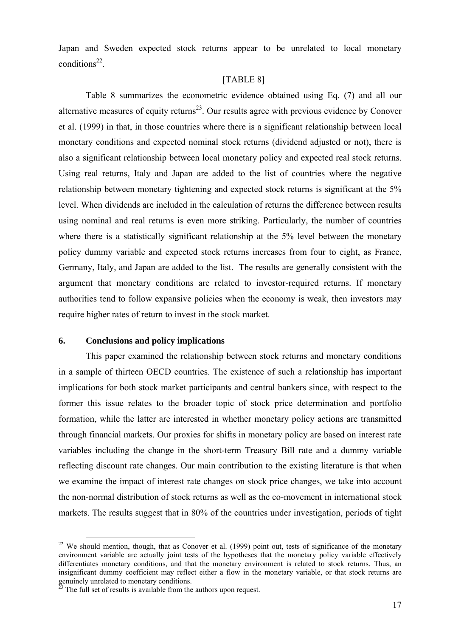Japan and Sweden expected stock returns appear to be unrelated to local monetary  $conditions<sup>22</sup>$ 

## [TABLE 8]

Table 8 summarizes the econometric evidence obtained using Eq. (7) and all our alternative measures of equity returns<sup>23</sup>. Our results agree with previous evidence by Conover et al. (1999) in that, in those countries where there is a significant relationship between local monetary conditions and expected nominal stock returns (dividend adjusted or not), there is also a significant relationship between local monetary policy and expected real stock returns. Using real returns, Italy and Japan are added to the list of countries where the negative relationship between monetary tightening and expected stock returns is significant at the 5% level. When dividends are included in the calculation of returns the difference between results using nominal and real returns is even more striking. Particularly, the number of countries where there is a statistically significant relationship at the 5% level between the monetary policy dummy variable and expected stock returns increases from four to eight, as France, Germany, Italy, and Japan are added to the list. The results are generally consistent with the argument that monetary conditions are related to investor-required returns. If monetary authorities tend to follow expansive policies when the economy is weak, then investors may require higher rates of return to invest in the stock market.

#### **6. Conclusions and policy implications**

This paper examined the relationship between stock returns and monetary conditions in a sample of thirteen OECD countries. The existence of such a relationship has important implications for both stock market participants and central bankers since, with respect to the former this issue relates to the broader topic of stock price determination and portfolio formation, while the latter are interested in whether monetary policy actions are transmitted through financial markets. Our proxies for shifts in monetary policy are based on interest rate variables including the change in the short-term Treasury Bill rate and a dummy variable reflecting discount rate changes. Our main contribution to the existing literature is that when we examine the impact of interest rate changes on stock price changes, we take into account the non-normal distribution of stock returns as well as the co-movement in international stock markets. The results suggest that in 80% of the countries under investigation, periods of tight

<span id="page-16-0"></span><sup>&</sup>lt;sup>22</sup> We should mention, though, that as Conover et al. (1999) point out, tests of significance of the monetary environment variable are actually joint tests of the hypotheses that the monetary policy variable effectively differentiates monetary conditions, and that the monetary environment is related to stock returns. Thus, an insignificant dummy coefficient may reflect either a flow in the monetary variable, or that stock returns are genuinely unrelated to monetary conditions.<br><sup>23</sup> The full set of results is available from the authors upon request.

<span id="page-16-1"></span>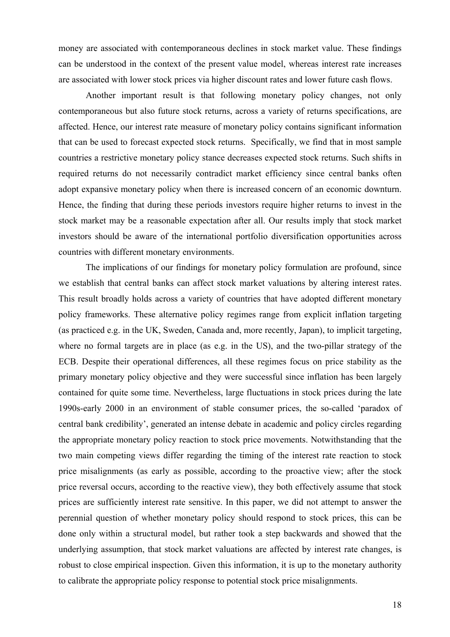money are associated with contemporaneous declines in stock market value. These findings can be understood in the context of the present value model, whereas interest rate increases are associated with lower stock prices via higher discount rates and lower future cash flows.

Another important result is that following monetary policy changes, not only contemporaneous but also future stock returns, across a variety of returns specifications, are affected. Hence, our interest rate measure of monetary policy contains significant information that can be used to forecast expected stock returns. Specifically, we find that in most sample countries a restrictive monetary policy stance decreases expected stock returns. Such shifts in required returns do not necessarily contradict market efficiency since central banks often adopt expansive monetary policy when there is increased concern of an economic downturn. Hence, the finding that during these periods investors require higher returns to invest in the stock market may be a reasonable expectation after all. Our results imply that stock market investors should be aware of the international portfolio diversification opportunities across countries with different monetary environments.

The implications of our findings for monetary policy formulation are profound, since we establish that central banks can affect stock market valuations by altering interest rates. This result broadly holds across a variety of countries that have adopted different monetary policy frameworks. These alternative policy regimes range from explicit inflation targeting (as practiced e.g. in the UK, Sweden, Canada and, more recently, Japan), to implicit targeting, where no formal targets are in place (as e.g. in the US), and the two-pillar strategy of the ECB. Despite their operational differences, all these regimes focus on price stability as the primary monetary policy objective and they were successful since inflation has been largely contained for quite some time. Nevertheless, large fluctuations in stock prices during the late 1990s-early 2000 in an environment of stable consumer prices, the so-called 'paradox of central bank credibility', generated an intense debate in academic and policy circles regarding the appropriate monetary policy reaction to stock price movements. Notwithstanding that the two main competing views differ regarding the timing of the interest rate reaction to stock price misalignments (as early as possible, according to the proactive view; after the stock price reversal occurs, according to the reactive view), they both effectively assume that stock prices are sufficiently interest rate sensitive. In this paper, we did not attempt to answer the perennial question of whether monetary policy should respond to stock prices, this can be done only within a structural model, but rather took a step backwards and showed that the underlying assumption, that stock market valuations are affected by interest rate changes, is robust to close empirical inspection. Given this information, it is up to the monetary authority to calibrate the appropriate policy response to potential stock price misalignments.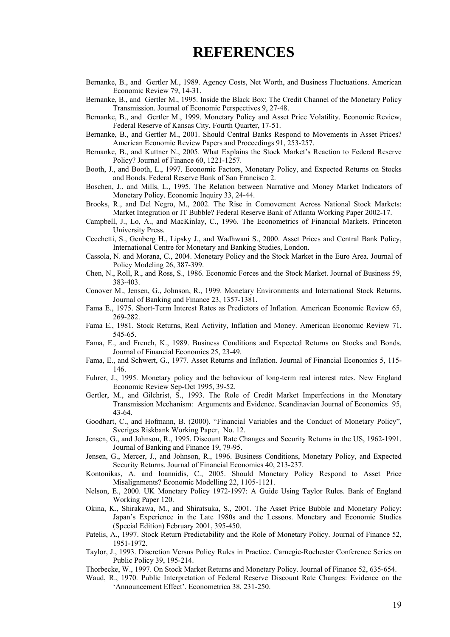# **REFERENCES**

- Bernanke, B., and Gertler M., 1989. Agency Costs, Net Worth, and Business Fluctuations. American Economic Review 79, 14-31.
- Bernanke, B., and Gertler M., 1995. Inside the Black Box: The Credit Channel of the Monetary Policy Transmission. Journal of Economic Perspectives 9, 27-48.
- Bernanke, B., and Gertler M., 1999. Monetary Policy and Asset Price Volatility. Economic Review, Federal Reserve of Kansas City, Fourth Quarter, 17-51.
- Bernanke, B., and Gertler M., 2001. Should Central Banks Respond to Movements in Asset Prices? American Economic Review Papers and Proceedings 91, 253-257.
- Bernanke, B., and Kuttner N., 2005. What Explains the Stock Market's Reaction to Federal Reserve Policy? Journal of Finance 60, 1221-1257.
- Booth, J., and Booth, L., 1997. Economic Factors, Monetary Policy, and Expected Returns on Stocks and Bonds. Federal Reserve Bank of San Francisco 2.
- Boschen, J., and Mills, L., 1995. The Relation between Narrative and Money Market Indicators of Monetary Policy. Economic Inquiry 33, 24-44.
- Brooks, R., and Del Negro, M., 2002. The Rise in Comovement Across National Stock Markets: Market Integration or IT Bubble? Federal Reserve Bank of Atlanta Working Paper 2002-17.
- Campbell, J., Lo, A., and MacKinlay, C., 1996. The Econometrics of Financial Markets. Princeton University Press.
- Cecchetti, S., Genberg H., Lipsky J., and Wadhwani S., 2000. Asset Prices and Central Bank Policy, International Centre for Monetary and Banking Studies, London.
- Cassola, N. and Morana, C., 2004. Monetary Policy and the Stock Market in the Euro Area. Journal of Policy Modeling 26, 387-399.
- Chen, N., Roll, R., and Ross, S., 1986. Economic Forces and the Stock Market. Journal of Business 59, 383-403.
- Conover M., Jensen, G., Johnson, R., 1999. Monetary Environments and International Stock Returns. Journal of Banking and Finance 23, 1357-1381.
- Fama E., 1975. Short-Term Interest Rates as Predictors of Inflation. American Economic Review 65, 269-282.
- Fama E., 1981. Stock Returns, Real Activity, Inflation and Money. American Economic Review 71, 545-65.
- Fama, E., and French, K., 1989. Business Conditions and Expected Returns on Stocks and Bonds. Journal of Financial Economics 25, 23-49.
- Fama, E., and Schwert, G., 1977. Asset Returns and Inflation. Journal of Financial Economics 5, 115- 146.
- Fuhrer, J., 1995. Monetary policy and the behaviour of long-term real interest rates. New England Economic Review Sep-Oct 1995, 39-52.
- Gertler, M., and Gilchrist, S., 1993. The Role of Credit Market Imperfections in the Monetary Transmission Mechanism: Arguments and Evidence. Scandinavian Journal of Economics 95, 43-64.
- Goodhart, C., and Hofmann, B. (2000). "Financial Variables and the Conduct of Monetary Policy", Sveriges Riskbank Working Paper, No. 12.
- Jensen, G., and Johnson, R., 1995. Discount Rate Changes and Security Returns in the US, 1962-1991. Journal of Banking and Finance 19, 79-95.
- Jensen, G., Mercer, J., and Johnson, R., 1996. Business Conditions, Monetary Policy, and Expected Security Returns. Journal of Financial Economics 40, 213-237.
- Kontonikas, A. and Ioannidis, C., 2005. Should Monetary Policy Respond to Asset Price Misalignments? Economic Modelling 22, 1105-1121.
- Nelson, E., 2000. UK Monetary Policy 1972-1997: A Guide Using Taylor Rules. Bank of England Working Paper 120.
- Okina, K., Shirakawa, M., and Shiratsuka, S., 2001. The Asset Price Bubble and Monetary Policy: Japan's Experience in the Late 1980s and the Lessons. Monetary and Economic Studies (Special Edition) February 2001, 395-450.
- Patelis, A., 1997. Stock Return Predictability and the Role of Monetary Policy. Journal of Finance 52, 1951-1972.
- Taylor, J., 1993. Discretion Versus Policy Rules in Practice. Carnegie-Rochester Conference Series on Public Policy 39, 195-214.
- Thorbecke, W., 1997. On Stock Market Returns and Monetary Policy. Journal of Finance 52, 635-654.
- Waud, R., 1970. Public Interpretation of Federal Reserve Discount Rate Changes: Evidence on the 'Announcement Effect'. Econometrica 38, 231-250.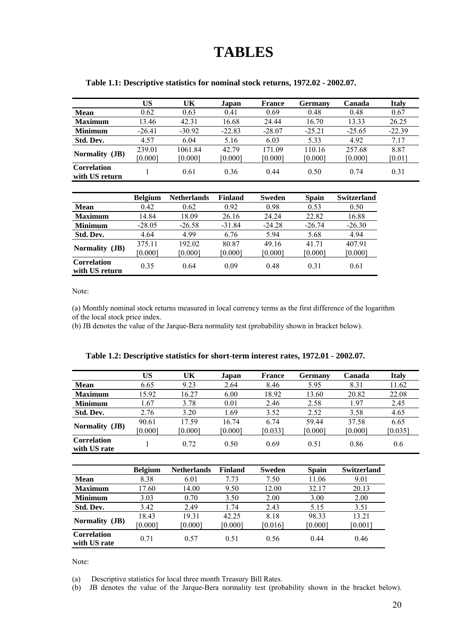# **TABLES**

|                                      | US       | UK       | Japan    | <b>France</b> | <b>Germany</b> | Canada   | <b>Italy</b> |
|--------------------------------------|----------|----------|----------|---------------|----------------|----------|--------------|
| <b>Mean</b>                          | 0.62     | 0.63     | 0.41     | 0.69          | 0.48           | 0.48     | 0.67         |
| <b>Maximum</b>                       | 13.46    | 42.31    | 16.68    | 24.44         | 16.70          | 13.33    | 26.25        |
| <b>Minimum</b>                       | $-26.41$ | $-30.92$ | $-22.83$ | $-28.07$      | $-25.21$       | $-25.65$ | $-22.39$     |
| Std. Dev.                            | 4.57     | 6.04     | 5.16     | 6.03          | 5.33           | 4.92     | 7.17         |
|                                      | 239.01   | 1061.84  | 42.79    | 171.09        | 110.16         | 257.68   | 8.87         |
| <b>Normality</b> (JB)                | [0.000]  | [0.000]  | [0.000]  | [0.000]       | [0.000]        | [0.000]  | [0.01]       |
| <b>Correlation</b><br>with US return |          | 0.61     | 0.36     | 0.44          | 0.50           | 0.74     | 0.31         |

#### **Table 1.1: Descriptive statistics for nominal stock returns, 1972.02 - 2002.07.**

|                                      | <b>Belgium</b> | <b>Netherlands</b> | <b>Finland</b> | Sweden   | <b>Spain</b> | <b>Switzerland</b> |
|--------------------------------------|----------------|--------------------|----------------|----------|--------------|--------------------|
| Mean                                 | 0.42           | 0.62               | 0.92           | 0.98     | 0.53         | 0.50               |
| <b>Maximum</b>                       | 14.84          | 18.09              | 26.16          | 24.24    | 22.82        | 16.88              |
| <b>Minimum</b>                       | $-28.05$       | $-26.58$           | $-31.84$       | $-24.28$ | $-26.74$     | $-26.30$           |
| Std. Dev.                            | 4.64           | 4.99               | 6.76           | 5.94     | 5.68         | 4.94               |
| <b>Normality</b> (JB)                | 375.11         | 192.02             | 80.87          | 49 16    | 41 71        | 407.91             |
|                                      | [0.000]        | [0.000]            | [0.000]        | [0.000]  | [0.000]      | [0.000]            |
| <b>Correlation</b><br>with US return | 0.35           | 0.64               | 0.09           | 0.48     | 0.31         | 0.61               |

Note:

(a) Monthly nominal stock returns measured in local currency terms as the first difference of the logarithm of the local stock price index.

(b) JB denotes the value of the Jarque-Bera normality test (probability shown in bracket below).

|                                    | US      | UK      | Japan   | <b>France</b> | <b>Germany</b> | Canada  | <b>Italy</b> |
|------------------------------------|---------|---------|---------|---------------|----------------|---------|--------------|
| <b>Mean</b>                        | 6.65    | 9.23    | 2.64    | 8.46          | 5.95           | 8.31    | 11.62        |
| <b>Maximum</b>                     | 15.92   | 16.27   | 6.00    | 18.92         | 13.60          | 20.82   | 22.08        |
| <b>Minimum</b>                     | 1.67    | 3.78    | 0.01    | 2.46          | 2.58           | 1.97    | 2.45         |
| Std. Dev.                          | 2.76    | 3.20    | 1.69    | 3.52          | 2.52           | 3.58    | 4.65         |
|                                    | 90.61   | 17.59   | 16.74   | 6.74          | 59.44          | 37.58   | 6.65         |
| <b>Normality</b> (JB)              | [0.000] | [0.000] | [0.000] | [0.033]       | [0.000]        | [0.000] | [0.035]      |
| <b>Correlation</b><br>with US rate |         | 0.72    | 0.50    | 0.69          | 0.51           | 0.86    | 0.6          |
|                                    |         |         |         |               |                |         |              |

|  |  |  | Table 1.2: Descriptive statistics for short-term interest rates, 1972.01 - 2002.07. |
|--|--|--|-------------------------------------------------------------------------------------|
|--|--|--|-------------------------------------------------------------------------------------|

|                                    | <b>Belgium</b>   | <b>Netherlands</b> | <b>Finland</b>   | <b>Sweden</b>   | <b>Spain</b>     | <b>Switzerland</b> |
|------------------------------------|------------------|--------------------|------------------|-----------------|------------------|--------------------|
| <b>Mean</b>                        | 8.38             | 6.01               | 7.73             | 7.50            | 11.06            | 9.01               |
| <b>Maximum</b>                     | 17.60            | 14.00              | 9.50             | 12.00           | 32.17            | 20.13              |
| <b>Minimum</b>                     | 3.03             | 0.70               | 3.50             | 2.00            | 3.00             | 2.00               |
| Std. Dev.                          | 3.42             | 2.49               | 1.74             | 2.43            | 5.15             | 3.51               |
| <b>Normality</b> (JB)              | 18.43<br>[0.000] | 19 31<br>[0.000]   | 42.25<br>[0.000] | 8.18<br>[0.016] | 98.33<br>[0.000] | 13.21<br>[0.001]   |
| <b>Correlation</b><br>with US rate | 0.71             | 0.57               | 0.51             | 0.56            | 0.44             | 0.46               |

Note:

(a) Descriptive statistics for local three month Treasury Bill Rates.

(b) JB denotes the value of the Jarque-Bera normality test (probability shown in the bracket below).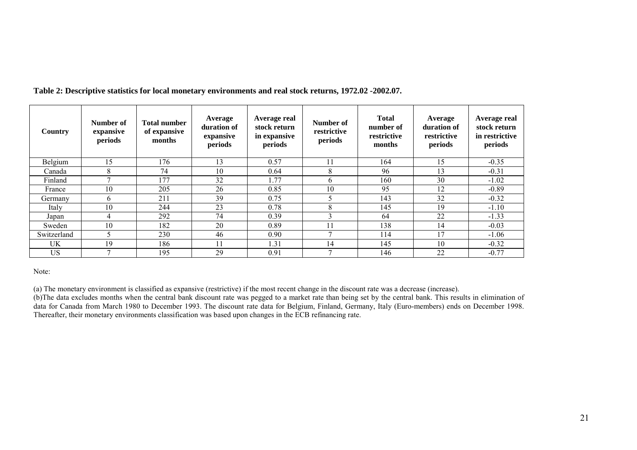| Country     | Number of<br>expansive<br>periods | <b>Total number</b><br>of expansive<br>months | Average<br>duration of<br>expansive<br>periods | Average real<br>stock return<br>in expansive<br>periods | Number of<br>restrictive<br>periods | <b>Total</b><br>number of<br>restrictive<br>months | Average<br>duration of<br>restrictive<br>periods | <b>Average real</b><br>stock return<br>in restrictive<br>periods |
|-------------|-----------------------------------|-----------------------------------------------|------------------------------------------------|---------------------------------------------------------|-------------------------------------|----------------------------------------------------|--------------------------------------------------|------------------------------------------------------------------|
| Belgium     | 15                                | 176                                           | 13                                             | 0.57                                                    | 11                                  | 164                                                | 15                                               | $-0.35$                                                          |
| Canada      | 8                                 | 74                                            | 10                                             | 0.64                                                    | 8                                   | 96                                                 | 13                                               | $-0.31$                                                          |
| Finland     |                                   | 177                                           | 32                                             | 1.77                                                    | 6                                   | 160                                                | 30                                               | $-1.02$                                                          |
| France      | 10                                | 205                                           | 26                                             | 0.85                                                    | 10                                  | 95                                                 | 12                                               | $-0.89$                                                          |
| Germany     | 6                                 | 211                                           | 39                                             | 0.75                                                    |                                     | 143                                                | 32                                               | $-0.32$                                                          |
| Italy       | 10                                | 244                                           | 23                                             | 0.78                                                    | 8                                   | 145                                                | 19                                               | $-1.10$                                                          |
| Japan       | 4                                 | 292                                           | 74                                             | 0.39                                                    | 3                                   | 64                                                 | 22                                               | $-1.33$                                                          |
| Sweden      | 10                                | 182                                           | 20                                             | 0.89                                                    | 11                                  | 138                                                | 14                                               | $-0.03$                                                          |
| Switzerland |                                   | 230                                           | 46                                             | 0.90                                                    | −                                   | 114                                                | 17                                               | $-1.06$                                                          |
| <b>UK</b>   | 19                                | 186                                           | 11                                             | 1.31                                                    | 14                                  | 145                                                | 10                                               | $-0.32$                                                          |
| <b>US</b>   |                                   | 195                                           | 29                                             | 0.91                                                    | $\mathbf{r}$                        | 146                                                | 22                                               | $-0.77$                                                          |

#### **Table 2: Descriptive statistics for local monetary environments and real stock returns, 1972.02 -2002.07.**

Note:

(a) The monetary environment is classified as expansive (restrictive) if the most recent change in the discount rate was a decrease (increase).

(b)The data excludes months when the central bank discount rate was pegged to a market rate than being set by the central bank. This results in elimination of data for Canada from March 1980 to December 1993. The discount rate data for Belgium, Finland, Germany, Italy (Euro-members) ends on December 1998. Thereafter, their monetary environments classification was based upon changes in the ECB refinancing rate.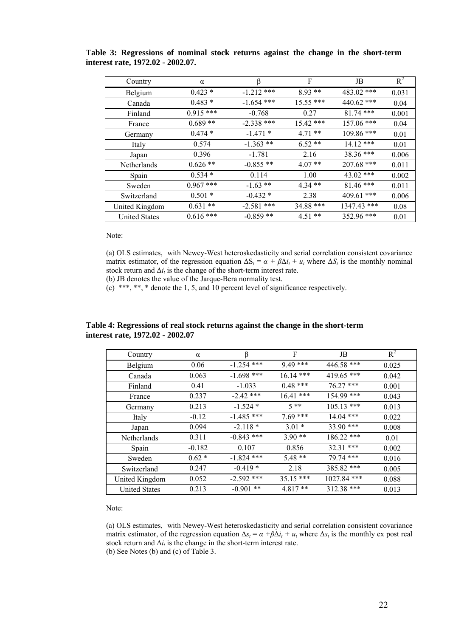| Country              | $\alpha$    | ß            | F           | JB           | $R^2$ |
|----------------------|-------------|--------------|-------------|--------------|-------|
| Belgium              | $0.423*$    | $-1.212$ *** | $8.93**$    | $483.02$ *** | 0.031 |
| Canada               | $0.483*$    | $-1.654$ *** | $15.55$ *** | 440.62 ***   | 0.04  |
| Finland              | $0.915$ *** | $-0.768$     | 0.27        | $81.74$ ***  | 0.001 |
| France               | $0.689**$   | $-2.338$ *** | $15.42$ *** | 157.06 ***   | 0.04  |
| Germany              | $0.474*$    | $-1.471*$    | $4.71**$    | $109.86$ *** | 0.01  |
| Italy                | 0.574       | $-1.363$ **  | $6.52**$    | $14.12$ ***  | 0.01  |
| Japan                | 0.396       | $-1.781$     | 2.16        | 38.36 ***    | 0.006 |
| Netherlands          | $0.626**$   | $-0.855**$   | $4.07**$    | 207.68 ***   | 0.011 |
| Spain                | $0.534*$    | 0.114        | 1.00        | 43.02 ***    | 0.002 |
| Sweden               | $0.967$ *** | $-1.63$ **   | $4.34**$    | $81.46$ ***  | 0.011 |
| Switzerland          | $0.501*$    | $-0.432*$    | 2.38        | 409.61 ***   | 0.006 |
| United Kingdom       | $0.631**$   | $-2.581$ *** | 34.88 ***   | 1347.43 ***  | 0.08  |
| <b>United States</b> | $0.616$ *** | $-0.859**$   | $4.51**$    | 352.96 ***   | 0.01  |

**Table 3: Regressions of nominal stock returns against the change in the short-term interest rate, 1972.02 - 2002.07.** 

Note:

(a) OLS estimates, with Newey-West heteroskedasticity and serial correlation consistent covariance matrix estimator, of the regression equation  $\Delta S_t = \alpha + \beta \Delta i_t + u_t$ , where  $\Delta S_t$  is the monthly nominal stock return and  $\Delta i_t$  is the change of the short-term interest rate.

(b) JB denotes the value of the Jarque-Bera normality test.

 $(c)$  \*\*\*, \*\*, \* denote the 1, 5, and 10 percent level of significance respectively.

#### **Table 4: Regressions of real stock returns against the change in the short-term interest rate, 1972.02 - 2002.07**

| Country              | α        | ß            | F          | JB           | $R^2$ |
|----------------------|----------|--------------|------------|--------------|-------|
| Belgium              | 0.06     | $-1.254$ *** | $9.49***$  | 446.58 ***   | 0.025 |
| Canada               | 0.063    | $-1.698$ *** | $16.14***$ | $419.65$ *** | 0.042 |
| Finland              | 0.41     | $-1.033$     | $0.48$ *** | $76.27$ ***  | 0.001 |
| France               | 0.237    | $-2.42$ ***  | $16.41***$ | 154.99 ***   | 0.043 |
| Germany              | 0.213    | $-1.524*$    | $5**$      | $105.13$ *** | 0.013 |
| Italy                | $-0.12$  | $-1.485$ *** | $7.69***$  | $14.04$ ***  | 0.022 |
| Japan                | 0.094    | $-2.118*$    | $3.01*$    | 33.90 ***    | 0.008 |
| Netherlands          | 0.311    | $-0.843$ *** | $3.90**$   | $186.22$ *** | 0.01  |
| Spain                | $-0.182$ | 0.107        | 0.856      | $32.31$ ***  | 0.002 |
| Sweden               | $0.62*$  | $-1.824$ *** | $5.48**$   | 79.74 ***    | 0.016 |
| Switzerland          | 0.247    | $-0.419*$    | 2.18       | 385.82 ***   | 0.005 |
| United Kingdom       | 0.052    | $-2.592$ *** | $35.15***$ | 1027.84 ***  | 0.088 |
| <b>United States</b> | 0.213    | $-0.901$ **  | $4.817**$  | 312.38 ***   | 0.013 |

Note:

(a) OLS estimates, with Newey-West heteroskedasticity and serial correlation consistent covariance matrix estimator, of the regression equation  $\Delta s_t = \alpha + \beta \Delta i_t + u_t$  where  $\Delta s_t$  is the monthly ex post real stock return and  $\Delta i_t$  is the change in the short-term interest rate. (b) See Notes (b) and (c) of Table 3.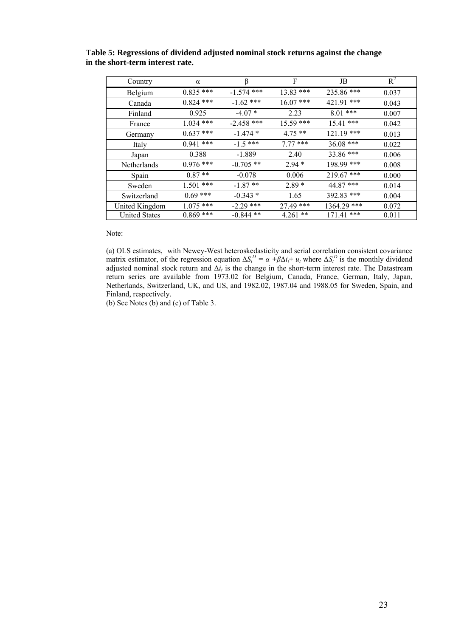| Country              | $\alpha$    | β            | F           | JB           | $R^2$ |
|----------------------|-------------|--------------|-------------|--------------|-------|
| Belgium              | $0.835$ *** | $-1.574$ *** | $13.83$ *** | 235.86 ***   | 0.037 |
| Canada               | $0.824$ *** | $-1.62$ ***  | $16.07$ *** | $421.91$ *** | 0.043 |
| Finland              | 0.925       | $-4.07*$     | 2.23        | $8.01***$    | 0.007 |
| France               | $1.034$ *** | $-2.458$ *** | $15.59$ *** | $15.41***$   | 0.042 |
| Germany              | $0.637$ *** | $-1.474*$    | $4.75**$    | $121.19$ *** | 0.013 |
| Italy                | $0.941$ *** | $-1.5$ ***   | $7.77***$   | $36.08$ ***  | 0.022 |
| Japan                | 0.388       | $-1.889$     | 2.40        | 33.86 ***    | 0.006 |
| Netherlands          | $0.976$ *** | $-0.705$ **  | $2.94*$     | 198.99 ***   | 0.008 |
| Spain                | $0.87**$    | $-0.078$     | 0.006       | 219.67***    | 0.000 |
| Sweden               | $1.501$ *** | $-1.87**$    | $2.89*$     | 44.87 ***    | 0.014 |
| Switzerland          | $0.69$ ***  | $-0.343*$    | 1.65        | 392.83 ***   | 0.004 |
| United Kingdom       | $1.075$ *** | $-2.29$ ***  | $27.49$ *** | 1364.29 ***  | 0.072 |
| <b>United States</b> | $0.869$ *** | $-0.844$ **  | $4.261$ **  | $171.41$ *** | 0.011 |

**Table 5: Regressions of dividend adjusted nominal stock returns against the change in the short-term interest rate.** 

Note:

(a) OLS estimates, with Newey-West heteroskedasticity and serial correlation consistent covariance matrix estimator, of the regression equation  $\Delta S_t^D = \alpha + \beta \Delta i_t + u_t$  where  $\Delta S_t^D$  is the monthly dividend adjusted nominal stock return and  $\Delta i_t$  is the change in the short-term interest rate. The Datastream return series are available from 1973.02 for Belgium, Canada, France, German, Italy, Japan, Netherlands, Switzerland, UK, and US, and 1982.02, 1987.04 and 1988.05 for Sweden, Spain, and Finland, respectively.

(b) See Notes (b) and (c) of Table 3.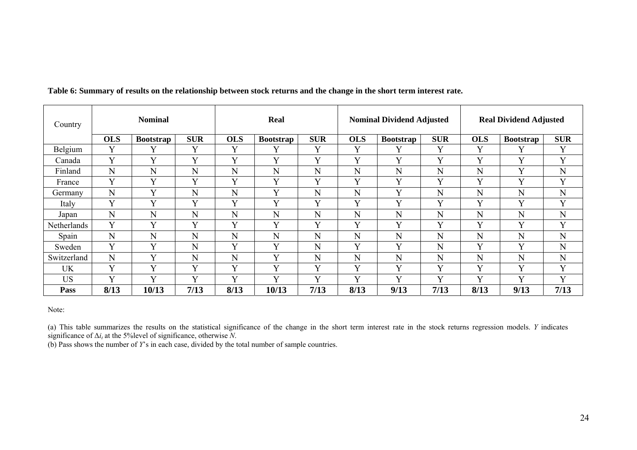| Country     | <b>Nominal</b> |                         | Real                    |              | <b>Nominal Dividend Adjusted</b> |                         |              | <b>Real Dividend Adjusted</b> |              |              |                  |             |
|-------------|----------------|-------------------------|-------------------------|--------------|----------------------------------|-------------------------|--------------|-------------------------------|--------------|--------------|------------------|-------------|
|             | <b>OLS</b>     | <b>Bootstrap</b>        | <b>SUR</b>              | <b>OLS</b>   | <b>Bootstrap</b>                 | <b>SUR</b>              | <b>OLS</b>   | <b>Bootstrap</b>              | <b>SUR</b>   | <b>OLS</b>   | <b>Bootstrap</b> | <b>SUR</b>  |
| Belgium     | Y              | Y                       | $\mathbf v$             | Y            | Y                                | v                       | $\mathbf{V}$ | Y                             | $\mathbf{V}$ | Y            | Y                | Y           |
| Canada      | $\mathbf{V}$   | $\mathbf{V}$            | $\overline{\mathbf{V}}$ | $\bf{V}$     | Y                                | $\mathbf v$             | $\mathbf{V}$ | Y                             | $\mathbf{v}$ | $\mathbf{V}$ | Y                | Y           |
| Finland     | N              | N                       | N                       | N            | N                                | N                       | N            | N                             | N            | N            | Y                | N           |
| France      | $\mathbf{v}$   | $\mathbf{V}$            | $\mathbf{v}$            | $\mathbf{v}$ | $\mathbf{V}$                     | $\overline{\mathbf{V}}$ | $\mathbf{v}$ | $\mathbf{V}$                  | v            | $\mathbf{v}$ | Y                | Y           |
| Germany     | N              | $\mathbf v$             | N                       | N            | Y                                | N                       | N            | Y                             | N            | N            | N                | $\mathbf N$ |
| Italy       | $\mathbf{v}$   | $\mathbf{v}$            | $\mathbf{v}$            | $\mathbf{V}$ | $\mathbf{V}$                     | $\overline{\mathbf{V}}$ | $\mathbf{v}$ | $\mathbf{v}$                  | $\mathbf{v}$ | $\mathbf{V}$ | Y                | Y           |
| Japan       | N              | N                       | N                       | N            | N                                | N                       | N            | N                             | N            | N            | N                | N           |
| Netherlands | Y              | Y                       | $\mathbf{v}$            | Y            | Y                                | $\overline{\mathbf{V}}$ | Y            | Y                             | $\mathbf{v}$ | Y            | Y                | Y           |
| Spain       | N              | N                       | N                       | N            | N                                | N                       | N            | N                             | N            | N            | N                | $\mathbf N$ |
| Sweden      | Y              | $\mathbf{V}$            | N                       | $\mathbf{V}$ | Y                                | N                       | $\mathbf{V}$ | Y                             | N            | $\mathbf{V}$ | Y                | N           |
| Switzerland | N              | $\mathbf{v}$            | N                       | N            | Y                                | N                       | N            | N                             | N            | N            | N                | N           |
| <b>UK</b>   | $\mathbf{V}$   | $\mathbf{V}$            | $\mathbf{v}$            | Y            | Y                                | $\overline{\mathbf{V}}$ | $\mathbf{v}$ | $\mathbf{v}$                  | $\mathbf{v}$ | $\mathbf{v}$ | Y                | Y           |
| <b>US</b>   | $\mathbf{V}$   | $\overline{\mathbf{V}}$ | $\overline{\mathbf{v}}$ | $\mathbf{V}$ | V                                | $\overline{\mathbf{V}}$ | $\mathbf{V}$ | $\mathbf{V}$                  | $\mathbf{v}$ | $\mathbf{V}$ | Y                | Y           |
| <b>Pass</b> | 8/13           | 10/13                   | 7/13                    | 8/13         | 10/13                            | 7/13                    | 8/13         | 9/13                          | 7/13         | 8/13         | 9/13             | 7/13        |

**Table 6: Summary of results on the relationship between stock returns and the change in the short term interest rate.** 

Note:

(a) This table summarizes the results on the statistical significance of the change in the short term interest rate in the stock returns regression models. *Y* indicates significance of  $\Delta i_t$  at the 5% level of significance, otherwise *N*.

(b) Pass shows the number of *Y*'s in each case, divided by the total number of sample countries.